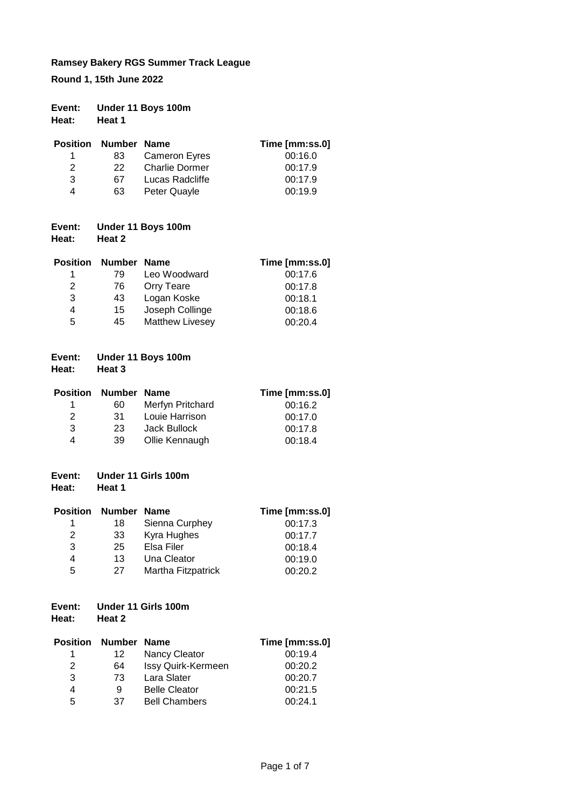**Round 1, 15th June 2022**

| Event: | Under 11 Boys 100m |
|--------|--------------------|
| Heat:  | Heat 1             |

| Position | Number Name |                       | Time [mm:ss.0] |
|----------|-------------|-----------------------|----------------|
| 1.       | 83.         | <b>Cameron Eyres</b>  | 00:16.0        |
| 2        | 22.         | <b>Charlie Dormer</b> | 00:17.9        |
| 3        | 67          | Lucas Radcliffe       | 00:17.9        |
| 4        | 63          | Peter Quayle          | 00:19.9        |

#### **Event: Under 11 Boys 100m Heat: Heat 2**

| <b>Position</b> | Number Name |                        | Time [mm:ss.0] |
|-----------------|-------------|------------------------|----------------|
| 1               | 79          | Leo Woodward           | 00:17.6        |
| 2               | 76          | <b>Orry Teare</b>      | 00:17.8        |
| 3               | 43          | Logan Koske            | 00:18.1        |
| 4               | 15          | Joseph Collinge        | 00:18.6        |
| 5               | 45          | <b>Matthew Livesey</b> | 00:20.4        |

| Event: | Under 11 Boys 100m |
|--------|--------------------|
| . .    |                    |

**Heat: Heat 3**

|               | <b>Position Number Name</b> |                  | Time [mm:ss.0] |
|---------------|-----------------------------|------------------|----------------|
|               | 60                          | Merfyn Pritchard | 00:16.2        |
| $\mathcal{P}$ | -31                         | Louie Harrison   | 00:17.0        |
| 3             | 23.                         | Jack Bullock     | 00:17.8        |
| 4             | 39                          | Ollie Kennaugh   | 00:18.4        |

| Event: | Under 11 Girls 100m |  |
|--------|---------------------|--|
|        |                     |  |

**Heat: Heat 1**

|    |                    | Time [mm:ss.0] |
|----|--------------------|----------------|
| 18 | Sienna Curphey     | 00:17.3        |
| 33 | Kyra Hughes        | 00:17.7        |
| 25 | Elsa Filer         | 00:18.4        |
| 13 | Una Cleator        | 00:19.0        |
| 27 | Martha Fitzpatrick | 00:20.2        |
|    |                    | Number Name    |

# **Event: Under 11 Girls 100m**

**Heat: Heat 2**

| <b>Position</b> | Number Name |                      | Time [mm:ss.0] |
|-----------------|-------------|----------------------|----------------|
| 1               | 12          | <b>Nancy Cleator</b> | 00:19.4        |
| 2               | 64          | Issy Quirk-Kermeen   | 00:20.2        |
| 3               | 73          | Lara Slater          | 00:20.7        |
| 4               | 9           | <b>Belle Cleator</b> | 00:21.5        |
| 5               | 37          | <b>Bell Chambers</b> | 00:24.1        |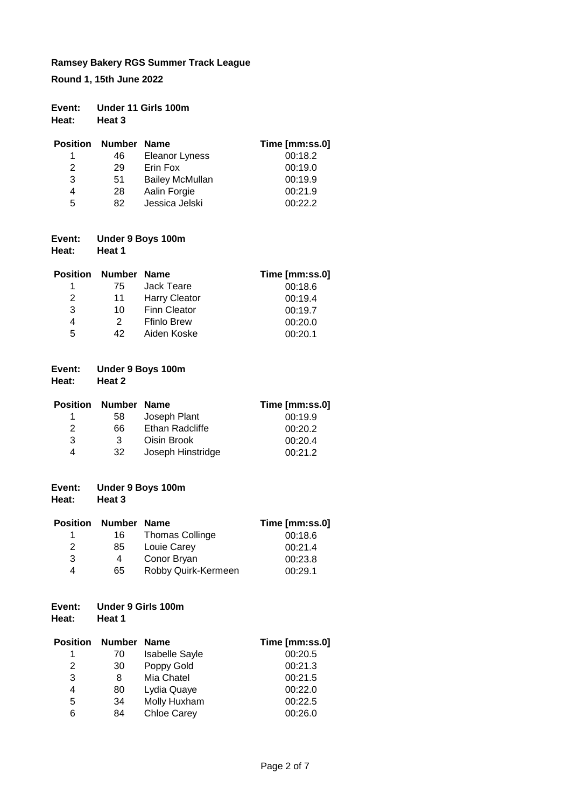**Round 1, 15th June 2022**

| Event:<br>Heat: | Under 11 Girls 100m<br>Heat 3 |                        |                |  |
|-----------------|-------------------------------|------------------------|----------------|--|
| <b>Position</b> | Number Name                   |                        | Time [mm:ss.0] |  |
|                 | 46                            | <b>Eleanor Lyness</b>  | 00:18.2        |  |
| 2               | 29                            | Erin Fox               | 00:19.0        |  |
| 3               | 51                            | <b>Bailey McMullan</b> | 00:19.9        |  |
| 4               | 28                            | Aalin Forgie           | 00:21.9        |  |
| 5               | 82                            | Jessica Jelski         | 00:22.2        |  |

# **Event: Under 9 Boys 100m**

**Heat: Heat 1**

| <b>Position</b> | Number Name |                      | Time [mm:ss.0] |
|-----------------|-------------|----------------------|----------------|
| 1               | 75          | Jack Teare           | 00:18.6        |
| 2               | 11          | <b>Harry Cleator</b> | 00:19.4        |
| 3               | 10          | <b>Finn Cleator</b>  | 00:19.7        |
| 4               | 2           | <b>Ffinlo Brew</b>   | 00:20.0        |
| 5               | 42          | Aiden Koske          | 00:20.1        |

# **Event: Under 9 Boys 100m**

**Heat: Heat 2**

| <b>Position</b> | Number Name |                   | Time [mm:ss.0] |
|-----------------|-------------|-------------------|----------------|
| 1.              | 58          | Joseph Plant      | 00:19.9        |
| 2               | 66          | Ethan Radcliffe   | 00:20.2        |
| 3               | 3           | Oisin Brook       | 00:20.4        |
| 4               | 32          | Joseph Hinstridge | 00:21.2        |

#### **Event: Under 9 Boys 100m Heat: Heat 3**

|     |                        | Time [mm:ss.0] |
|-----|------------------------|----------------|
| 16  | <b>Thomas Collinge</b> | 00:18.6        |
| 85  | Louie Carey            | 00:21.4        |
| 4   | Conor Bryan            | 00:23.8        |
| 65. | Robby Quirk-Kermeen    | 00:29.1        |
|     | Position               | Number Name    |

# **Event: Under 9 Girls 100m**

**Heat: Heat 1**

| <b>Position</b> | <b>Number Name</b> |                       | Time [mm:ss.0] |
|-----------------|--------------------|-----------------------|----------------|
| 1               | 70                 | <b>Isabelle Sayle</b> | 00:20.5        |
| 2               | 30                 | Poppy Gold            | 00:21.3        |
| 3               | 8                  | Mia Chatel            | 00:21.5        |
| 4               | 80                 | Lydia Quaye           | 00:22.0        |
| 5               | 34                 | Molly Huxham          | 00:22.5        |
| 6               | 84                 | <b>Chloe Carey</b>    | 00:26.0        |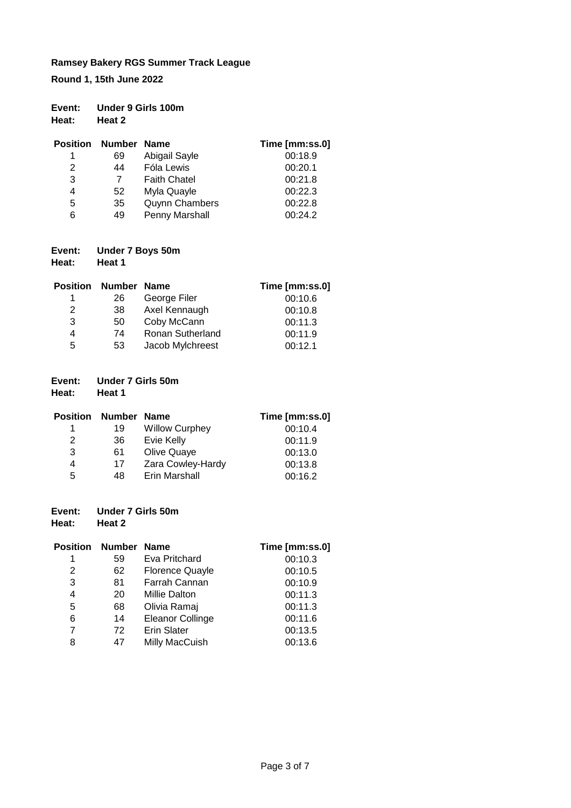**Round 1, 15th June 2022**

| Event:<br>Heat: | Heat 2      | Under 9 Girls 100m    |                |
|-----------------|-------------|-----------------------|----------------|
| <b>Position</b> | Number Name |                       | Time [mm:ss.0] |
| 1               | 69          | Abigail Sayle         | 00:18.9        |
| 2               | 44          | Fóla Lewis            | 00:20.1        |
| 3               | 7           | <b>Faith Chatel</b>   | 00:21.8        |
| 4               | 52          | Myla Quayle           | 00:22.3        |
| 5               | 35          | <b>Quynn Chambers</b> | 00:22.8        |
| 6               | 49          | Penny Marshall        | 00:24.2        |

# **Event: Under 7 Boys 50m**

**Heat: Heat 1**

| Position | Number Name |                  | Time [mm:ss.0] |
|----------|-------------|------------------|----------------|
| 1        | 26          | George Filer     | 00:10.6        |
| 2        | 38          | Axel Kennaugh    | 00:10.8        |
| 3        | 50          | Coby McCann      | 00:11.3        |
| 4        | 74          | Ronan Sutherland | 00:11.9        |
| 5        | 53          | Jacob Mylchreest | 00:12.1        |

#### **Event: Under 7 Girls 50m**

**Heat: Heat 1**

|   | <b>Position Number Name</b> |                       | Time [mm:ss.0] |
|---|-----------------------------|-----------------------|----------------|
|   | 19                          | <b>Willow Curphey</b> | 00:10.4        |
| 2 | 36                          | Evie Kelly            | 00:11.9        |
| 3 | 61                          | Olive Quaye           | 00:13.0        |
| 4 | 17                          | Zara Cowley-Hardy     | 00:13.8        |
| 5 | 48                          | Erin Marshall         | 00:16.2        |

# **Event: Under 7 Girls 50m**

| Heat:           | Heat 2      |                        |                |
|-----------------|-------------|------------------------|----------------|
| <b>Position</b> | Number Name |                        | Time [mm:ss.0] |
| 1               | 59          | Eva Pritchard          | 00:10.3        |
| 2               | 62          | <b>Florence Quayle</b> | 00:10.5        |
| 3               | 81          | Farrah Cannan          | 00:10.9        |
| 4               | 20          | <b>Millie Dalton</b>   | 00:11.3        |
| 5               | 68          | Olivia Ramaj           | 00:11.3        |
| 6               | 14          | Eleanor Collinge       | 00:11.6        |
| 7               | 72          | <b>Erin Slater</b>     | 00:13.5        |
| 8               | 47          | Milly MacCuish         | 00:13.6        |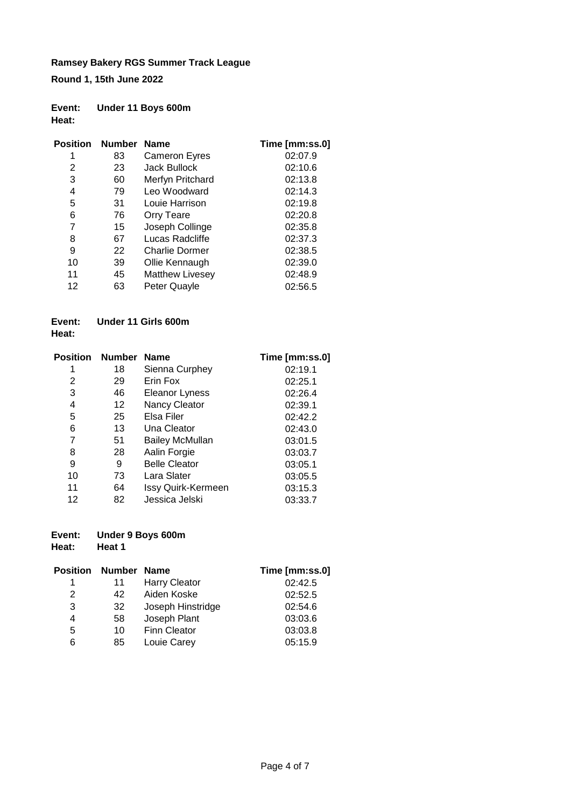**Round 1, 15th June 2022**

#### **Event: Under 11 Boys 600m Heat:**

| <b>Position</b> | Number Name |                        | Time [mm:ss.0] |
|-----------------|-------------|------------------------|----------------|
| 1               | 83          | <b>Cameron Eyres</b>   | 02:07.9        |
| 2               | 23          | Jack Bullock           | 02:10.6        |
| 3               | 60          | Merfyn Pritchard       | 02:13.8        |
| 4               | 79          | Leo Woodward           | 02:14.3        |
| 5               | 31          | Louie Harrison         | 02:19.8        |
| 6               | 76          | Orry Teare             | 02:20.8        |
| 7               | 15          | Joseph Collinge        | 02:35.8        |
| 8               | 67          | Lucas Radcliffe        | 02:37.3        |
| 9               | 22          | <b>Charlie Dormer</b>  | 02:38.5        |
| 10              | 39          | Ollie Kennaugh         | 02:39.0        |
| 11              | 45          | <b>Matthew Livesey</b> | 02:48.9        |
| 12              | 63          | Peter Quayle           | 02:56.5        |

#### **Event: Under 11 Girls 600m Heat:**

| Position | Number Name |                        | Time [mm:ss.0] |
|----------|-------------|------------------------|----------------|
| 1        | 18          | Sienna Curphey         | 02:19.1        |
| 2        | 29          | Erin Fox               | 02:25.1        |
| 3        | 46          | <b>Eleanor Lyness</b>  | 02:26.4        |
| 4        | 12          | Nancy Cleator          | 02:39.1        |
| 5        | 25          | Elsa Filer             | 02:42.2        |
| 6        | 13          | Una Cleator            | 02:43.0        |
| 7        | 51          | <b>Bailey McMullan</b> | 03:01.5        |
| 8        | 28          | Aalin Forgie           | 03:03.7        |
| 9        | 9           | <b>Belle Cleator</b>   | 03:05.1        |
| 10       | 73          | Lara Slater            | 03:05.5        |
| 11       | 64          | Issy Quirk-Kermeen     | 03:15.3        |
| 12       | 82          | Jessica Jelski         | 03:33.7        |

#### **Event: Under 9 Boys 600m**

**Heat: Heat 1**

| <b>Position</b> | Number Name |                      | Time [mm:ss.0] |
|-----------------|-------------|----------------------|----------------|
| 1               | 11          | <b>Harry Cleator</b> | 02:42.5        |
| 2               | 42          | Aiden Koske          | 02:52.5        |
| 3               | 32          | Joseph Hinstridge    | 02:54.6        |
| 4               | 58          | Joseph Plant         | 03:03.6        |
| 5               | 10          | <b>Finn Cleator</b>  | 03:03.8        |
| 6               | 85          | Louie Carey          | 05:15.9        |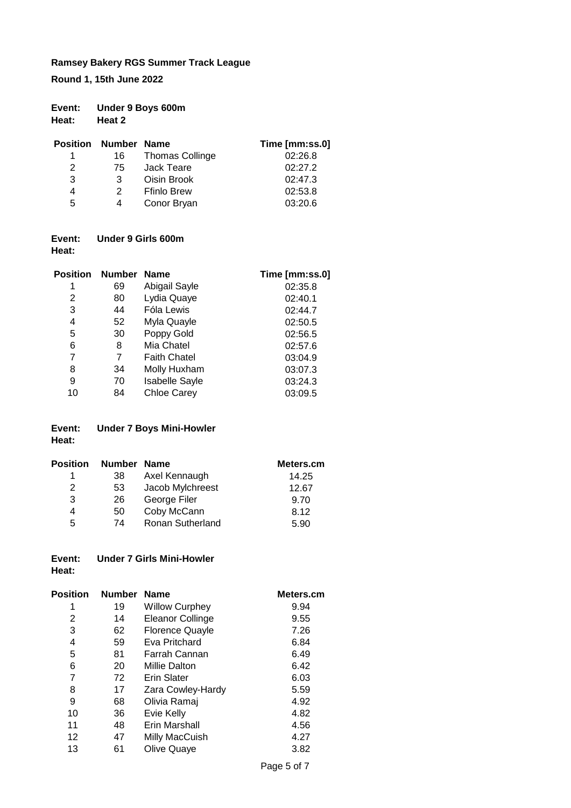**Round 1, 15th June 2022**

| Event: | Under 9 Boys 600m |
|--------|-------------------|
| Heat:  | Heat 2            |

| <b>Position Number Name</b> |               |                        | Time [mm:ss.0] |
|-----------------------------|---------------|------------------------|----------------|
|                             | 16            | <b>Thomas Collinge</b> | 02:26.8        |
| 2                           | 75.           | Jack Teare             | 02:27.2        |
| 3                           | 3             | Oisin Brook            | 02:47.3        |
| 4                           | $\mathcal{P}$ | <b>Ffinlo Brew</b>     | 02:53.8        |
| 5                           | 4             | Conor Bryan            | 03:20.6        |

#### **Event: Under 9 Girls 600m Heat:**

| Position | Number Name |                       | Time [mm:ss.0] |
|----------|-------------|-----------------------|----------------|
| 1        | 69          | Abigail Sayle         | 02:35.8        |
| 2        | 80          | Lydia Quaye           | 02:40.1        |
| 3        | 44          | Fóla Lewis            | 02:44.7        |
| 4        | 52          | Myla Quayle           | 02:50.5        |
| 5        | 30          | Poppy Gold            | 02:56.5        |
| 6        | 8           | Mia Chatel            | 02:57.6        |
| 7        | 7           | <b>Faith Chatel</b>   | 03:04.9        |
| 8        | 34          | Molly Huxham          | 03:07.3        |
| 9        | 70          | <b>Isabelle Sayle</b> | 03:24.3        |
| 10       | 84          | <b>Chloe Carey</b>    | 03:09.5        |
|          |             |                       |                |

### **Event: Under 7 Boys Mini-Howler Heat:**

| <b>Position</b> | Number Name |                  | Meters.cm |
|-----------------|-------------|------------------|-----------|
| 1               | 38          | Axel Kennaugh    | 14.25     |
| 2               | 53          | Jacob Mylchreest | 12.67     |
| 3               | 26          | George Filer     | 9.70      |
| 4               | 50          | Coby McCann      | 8.12      |
| 5               | 74          | Ronan Sutherland | 5.90      |

#### **Event: Under 7 Girls Mini-Howler Heat:**

| Position | <b>Number</b> | <b>Name</b>            | Meters.cm |
|----------|---------------|------------------------|-----------|
| 1        | 19            | <b>Willow Curphey</b>  | 9.94      |
| 2        | 14            | Eleanor Collinge       | 9.55      |
| 3        | 62            | <b>Florence Quayle</b> | 7.26      |
| 4        | 59            | Eva Pritchard          | 6.84      |
| 5        | 81            | Farrah Cannan          | 6.49      |
| 6        | 20            | Millie Dalton          | 6.42      |
| 7        | 72            | <b>Erin Slater</b>     | 6.03      |
| 8        | 17            | Zara Cowley-Hardy      | 5.59      |
| 9        | 68            | Olivia Ramaj           | 4.92      |
| 10       | 36            | Evie Kelly             | 4.82      |
| 11       | 48            | Erin Marshall          | 4.56      |
| 12       | 47            | Milly MacCuish         | 4.27      |
| 13       | 61            | Olive Quaye            | 3.82      |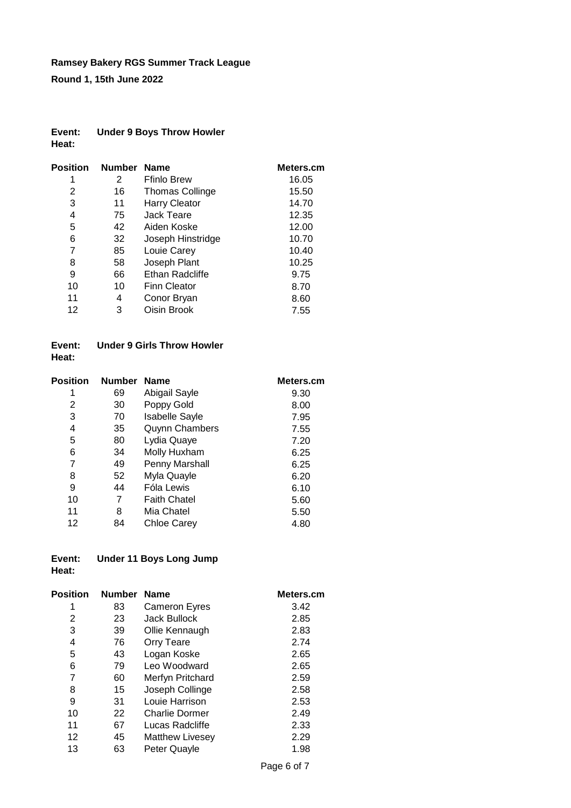**Round 1, 15th June 2022**

#### **Event: Under 9 Boys Throw Howler Heat:**

| <b>Position</b> | Number Name |                        | Meters.cm |
|-----------------|-------------|------------------------|-----------|
| 1               | 2           | <b>Ffinlo Brew</b>     | 16.05     |
| 2               | 16          | <b>Thomas Collinge</b> | 15.50     |
| 3               | 11          | <b>Harry Cleator</b>   | 14.70     |
| 4               | 75          | Jack Teare             | 12.35     |
| 5               | 42          | Aiden Koske            | 12.00     |
| 6               | 32          | Joseph Hinstridge      | 10.70     |
| 7               | 85          | Louie Carey            | 10.40     |
| 8               | 58          | Joseph Plant           | 10.25     |
| 9               | 66          | Ethan Radcliffe        | 9.75      |
| 10              | 10          | <b>Finn Cleator</b>    | 8.70      |
| 11              | 4           | Conor Bryan            | 8.60      |
| 12              | 3           | Oisin Brook            | 7.55      |
|                 |             |                        |           |

#### **Event: Under 9 Girls Throw Howler Heat:**

| <b>Position</b> | <b>Number</b> | <b>Name</b>           | Meters.cm |
|-----------------|---------------|-----------------------|-----------|
| 1               | 69            | Abigail Sayle         | 9.30      |
| 2               | 30            | Poppy Gold            | 8.00      |
| 3               | 70            | <b>Isabelle Sayle</b> | 7.95      |
| 4               | 35            | <b>Quynn Chambers</b> | 7.55      |
| 5               | 80            | Lydia Quaye           | 7.20      |
| 6               | 34            | Molly Huxham          | 6.25      |
| 7               | 49            | Penny Marshall        | 6.25      |
| 8               | 52            | Myla Quayle           | 6.20      |
| 9               | 44            | Fóla Lewis            | 6.10      |
| 10              | 7             | <b>Faith Chatel</b>   | 5.60      |
| 11              | 8             | Mia Chatel            | 5.50      |
| 12              | 84            | Chloe Carey           | 4.80      |

#### **Event: Under 11 Boys Long Jump Heat:**

| Position | <b>Number</b> | <b>Name</b>            | Meters.cm |
|----------|---------------|------------------------|-----------|
| 1        | 83            | <b>Cameron Eyres</b>   | 3.42      |
| 2        | 23            | Jack Bullock           | 2.85      |
| 3        | 39            | Ollie Kennaugh         | 2.83      |
| 4        | 76            | <b>Orry Teare</b>      | 2.74      |
| 5        | 43            | Logan Koske            | 2.65      |
| 6        | 79            | Leo Woodward           | 2.65      |
| 7        | 60            | Merfyn Pritchard       | 2.59      |
| 8        | 15            | Joseph Collinge        | 2.58      |
| 9        | 31            | Louie Harrison         | 2.53      |
| 10       | 22            | <b>Charlie Dormer</b>  | 2.49      |
| 11       | 67            | Lucas Radcliffe        | 2.33      |
| 12       | 45            | <b>Matthew Livesey</b> | 2.29      |
| 13       | 63            | Peter Quayle           | 1.98      |